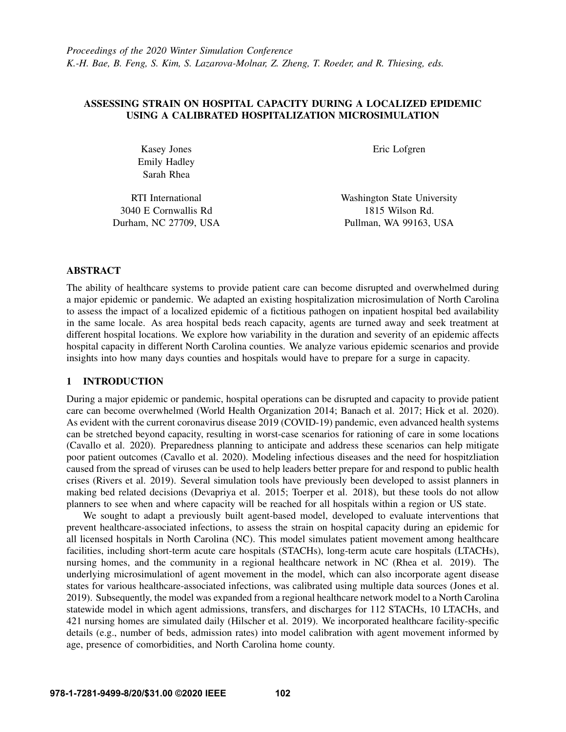# ASSESSING STRAIN ON HOSPITAL CAPACITY DURING A LOCALIZED EPIDEMIC USING A CALIBRATED HOSPITALIZATION MICROSIMULATION

Kasey Jones Emily Hadley Sarah Rhea

RTI International 3040 E Cornwallis Rd Durham, NC 27709, USA Eric Lofgren

Washington State University 1815 Wilson Rd. Pullman, WA 99163, USA

## ABSTRACT

The ability of healthcare systems to provide patient care can become disrupted and overwhelmed during a major epidemic or pandemic. We adapted an existing hospitalization microsimulation of North Carolina to assess the impact of a localized epidemic of a fictitious pathogen on inpatient hospital bed availability in the same locale. As area hospital beds reach capacity, agents are turned away and seek treatment at different hospital locations. We explore how variability in the duration and severity of an epidemic affects hospital capacity in different North Carolina counties. We analyze various epidemic scenarios and provide insights into how many days counties and hospitals would have to prepare for a surge in capacity.

# 1 INTRODUCTION

During a major epidemic or pandemic, hospital operations can be disrupted and capacity to provide patient care can become overwhelmed [\(World Health Organization 2014;](#page-8-0) [Banach et al. 2017;](#page-7-0) [Hick et al. 2020\)](#page-7-1). As evident with the current coronavirus disease 2019 (COVID-19) pandemic, even advanced health systems can be stretched beyond capacity, resulting in worst-case scenarios for rationing of care in some locations [\(Cavallo et al. 2020\)](#page-7-2). Preparedness planning to anticipate and address these scenarios can help mitigate poor patient outcomes [\(Cavallo et al. 2020\)](#page-7-2). Modeling infectious diseases and the need for hospitzliation caused from the spread of viruses can be used to help leaders better prepare for and respond to public health crises [\(Rivers et al. 2019\)](#page-7-3). Several simulation tools have previously been developed to assist planners in making bed related decisions [\(Devapriya et al. 2015;](#page-7-4) [Toerper et al. 2018\)](#page-8-1), but these tools do not allow planners to see when and where capacity will be reached for all hospitals within a region or US state.

We sought to adapt a previously built agent-based model, developed to evaluate interventions that prevent healthcare-associated infections, to assess the strain on hospital capacity during an epidemic for all licensed hospitals in North Carolina (NC). This model simulates patient movement among healthcare facilities, including short-term acute care hospitals (STACHs), long-term acute care hospitals (LTACHs), nursing homes, and the community in a regional healthcare network in NC [\(Rhea et al. 2019\)](#page-7-5). The underlying microsimulationl of agent movement in the model, which can also incorporate agent disease states for various healthcare-associated infections, was calibrated using multiple data sources [\(Jones et al.](#page-7-6) [2019\)](#page-7-6). Subsequently, the model was expanded from a regional healthcare network model to a North Carolina statewide model in which agent admissions, transfers, and discharges for 112 STACHs, 10 LTACHs, and 421 nursing homes are simulated daily [\(Hilscher et al. 2019\)](#page-7-7). We incorporated healthcare facility-specific details (e.g., number of beds, admission rates) into model calibration with agent movement informed by age, presence of comorbidities, and North Carolina home county.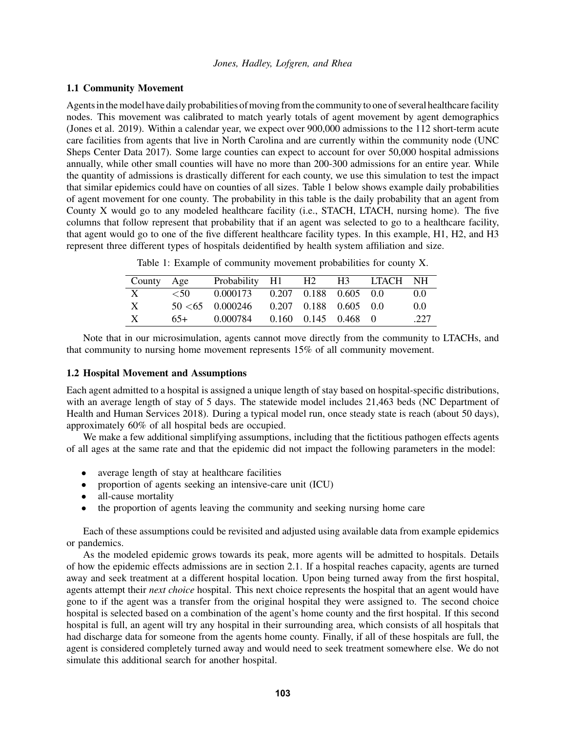### <span id="page-1-1"></span>1.1 Community Movement

Agents in the model have daily probabilities of moving from the community to one of several healthcare facility nodes. This movement was calibrated to match yearly totals of agent movement by agent demographics [\(Jones et al. 2019\)](#page-7-6). Within a calendar year, we expect over 900,000 admissions to the 112 short-term acute care facilities from agents that live in North Carolina and are currently within the community node [\(UNC](#page-8-2) [Sheps Center Data 2017\)](#page-8-2). Some large counties can expect to account for over 50,000 hospital admissions annually, while other small counties will have no more than 200-300 admissions for an entire year. While the quantity of admissions is drastically different for each county, we use this simulation to test the impact that similar epidemics could have on counties of all sizes. Table [1](#page-1-0) below shows example daily probabilities of agent movement for one county. The probability in this table is the daily probability that an agent from County X would go to any modeled healthcare facility (i.e., STACH, LTACH, nursing home). The five columns that follow represent that probability that if an agent was selected to go to a healthcare facility, that agent would go to one of the five different healthcare facility types. In this example, H1, H2, and H3 represent three different types of hospitals deidentified by health system affiliation and size.

| County Age |        | Probability H1 H2 H3                       |                           | LTACH NH |      |
|------------|--------|--------------------------------------------|---------------------------|----------|------|
| X          | $<$ 50 | $0.000173$ $0.207$ $0.188$ $0.605$ $0.0$   |                           |          | 0.0  |
| X          |        | $50 \le 65$ 0.000246 0.207 0.188 0.605 0.0 |                           |          | 0.0  |
| X          | 65+    | 0.000784                                   | $0.160$ $0.145$ $0.468$ 0 |          | .227 |

<span id="page-1-0"></span>Table 1: Example of community movement probabilities for county X.

Note that in our microsimulation, agents cannot move directly from the community to LTACHs, and that community to nursing home movement represents 15% of all community movement.

### 1.2 Hospital Movement and Assumptions

Each agent admitted to a hospital is assigned a unique length of stay based on hospital-specific distributions, with an average length of stay of 5 days. The statewide model includes 21,463 beds [\(NC Department of](#page-7-8) [Health and Human Services 2018\)](#page-7-8). During a typical model run, once steady state is reach (about 50 days), approximately 60% of all hospital beds are occupied.

We make a few additional simplifying assumptions, including that the fictitious pathogen effects agents of all ages at the same rate and that the epidemic did not impact the following parameters in the model:

- average length of stay at healthcare facilities
- proportion of agents seeking an intensive-care unit (ICU)
- all-cause mortality
- the proportion of agents leaving the community and seeking nursing home care

Each of these assumptions could be revisited and adjusted using available data from example epidemics or pandemics.

As the modeled epidemic grows towards its peak, more agents will be admitted to hospitals. Details of how the epidemic effects admissions are in section [2.1.](#page-2-0) If a hospital reaches capacity, agents are turned away and seek treatment at a different hospital location. Upon being turned away from the first hospital, agents attempt their *next choice* hospital. This next choice represents the hospital that an agent would have gone to if the agent was a transfer from the original hospital they were assigned to. The second choice hospital is selected based on a combination of the agent's home county and the first hospital. If this second hospital is full, an agent will try any hospital in their surrounding area, which consists of all hospitals that had discharge data for someone from the agents home county. Finally, if all of these hospitals are full, the agent is considered completely turned away and would need to seek treatment somewhere else. We do not simulate this additional search for another hospital.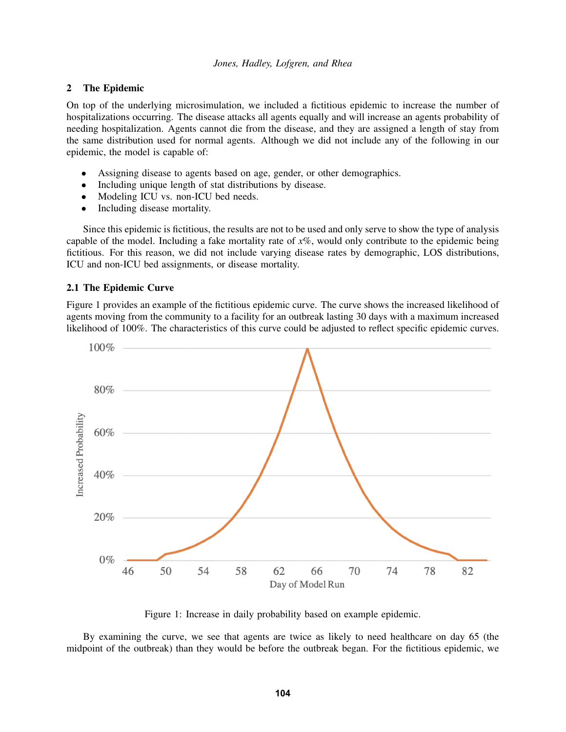#### *Jones, Hadley, Lofgren, and Rhea*

### 2 The Epidemic

On top of the underlying microsimulation, we included a fictitious epidemic to increase the number of hospitalizations occurring. The disease attacks all agents equally and will increase an agents probability of needing hospitalization. Agents cannot die from the disease, and they are assigned a length of stay from the same distribution used for normal agents. Although we did not include any of the following in our epidemic, the model is capable of:

- Assigning disease to agents based on age, gender, or other demographics.
- Including unique length of stat distributions by disease.
- Modeling ICU vs. non-ICU bed needs.
- Including disease mortality.

Since this epidemic is fictitious, the results are not to be used and only serve to show the type of analysis capable of the model. Including a fake mortality rate of  $x\%$ , would only contribute to the epidemic being fictitious. For this reason, we did not include varying disease rates by demographic, LOS distributions, ICU and non-ICU bed assignments, or disease mortality.

## <span id="page-2-0"></span>2.1 The Epidemic Curve

Figure [1](#page-2-1) provides an example of the fictitious epidemic curve. The curve shows the increased likelihood of agents moving from the community to a facility for an outbreak lasting 30 days with a maximum increased likelihood of 100%. The characteristics of this curve could be adjusted to reflect specific epidemic curves.



<span id="page-2-1"></span>Figure 1: Increase in daily probability based on example epidemic.

By examining the curve, we see that agents are twice as likely to need healthcare on day 65 (the midpoint of the outbreak) than they would be before the outbreak began. For the fictitious epidemic, we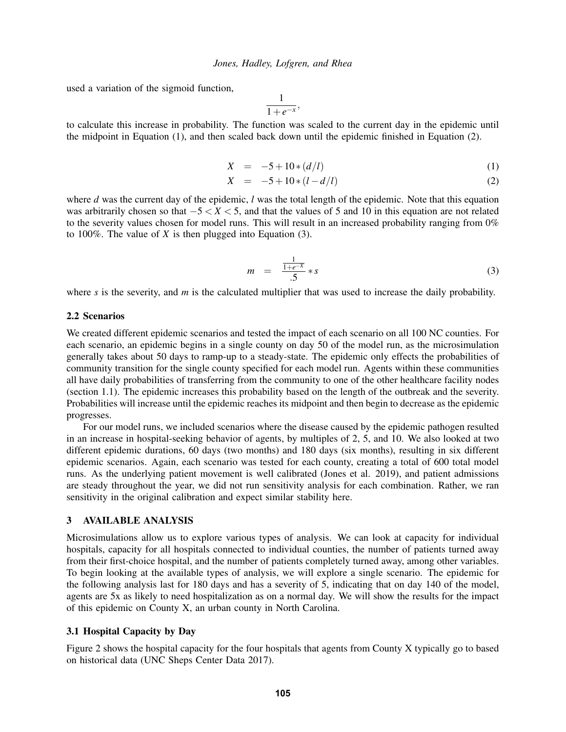used a variation of the sigmoid function,

$$
\frac{1}{1+e^{-x}},
$$

to calculate this increase in probability. The function was scaled to the current day in the epidemic until the midpoint in Equation (1), and then scaled back down until the epidemic finished in Equation (2).

$$
X = -5 + 10*(d/l) \tag{1}
$$

$$
X = -5 + 10 * (l - d/l) \tag{2}
$$

where *d* was the current day of the epidemic, *l* was the total length of the epidemic. Note that this equation was arbitrarily chosen so that −5 < *X* < 5, and that the values of 5 and 10 in this equation are not related to the severity values chosen for model runs. This will result in an increased probability ranging from 0% to 100%. The value of *X* is then plugged into Equation (3).

$$
m = \frac{\frac{1}{1+e^{-X}}}{.5} * s \tag{3}
$$

where *s* is the severity, and *m* is the calculated multiplier that was used to increase the daily probability.

#### 2.2 Scenarios

We created different epidemic scenarios and tested the impact of each scenario on all 100 NC counties. For each scenario, an epidemic begins in a single county on day 50 of the model run, as the microsimulation generally takes about 50 days to ramp-up to a steady-state. The epidemic only effects the probabilities of community transition for the single county specified for each model run. Agents within these communities all have daily probabilities of transferring from the community to one of the other healthcare facility nodes (section [1.1\)](#page-1-1). The epidemic increases this probability based on the length of the outbreak and the severity. Probabilities will increase until the epidemic reaches its midpoint and then begin to decrease as the epidemic progresses.

For our model runs, we included scenarios where the disease caused by the epidemic pathogen resulted in an increase in hospital-seeking behavior of agents, by multiples of 2, 5, and 10. We also looked at two different epidemic durations, 60 days (two months) and 180 days (six months), resulting in six different epidemic scenarios. Again, each scenario was tested for each county, creating a total of 600 total model runs. As the underlying patient movement is well calibrated [\(Jones et al. 2019\)](#page-7-6), and patient admissions are steady throughout the year, we did not run sensitivity analysis for each combination. Rather, we ran sensitivity in the original calibration and expect similar stability here.

## 3 AVAILABLE ANALYSIS

Microsimulations allow us to explore various types of analysis. We can look at capacity for individual hospitals, capacity for all hospitals connected to individual counties, the number of patients turned away from their first-choice hospital, and the number of patients completely turned away, among other variables. To begin looking at the available types of analysis, we will explore a single scenario. The epidemic for the following analysis last for 180 days and has a severity of 5, indicating that on day 140 of the model, agents are 5x as likely to need hospitalization as on a normal day. We will show the results for the impact of this epidemic on County X, an urban county in North Carolina.

### 3.1 Hospital Capacity by Day

Figure [2](#page-4-0) shows the hospital capacity for the four hospitals that agents from County X typically go to based on historical data [\(UNC Sheps Center Data 2017\)](#page-8-2).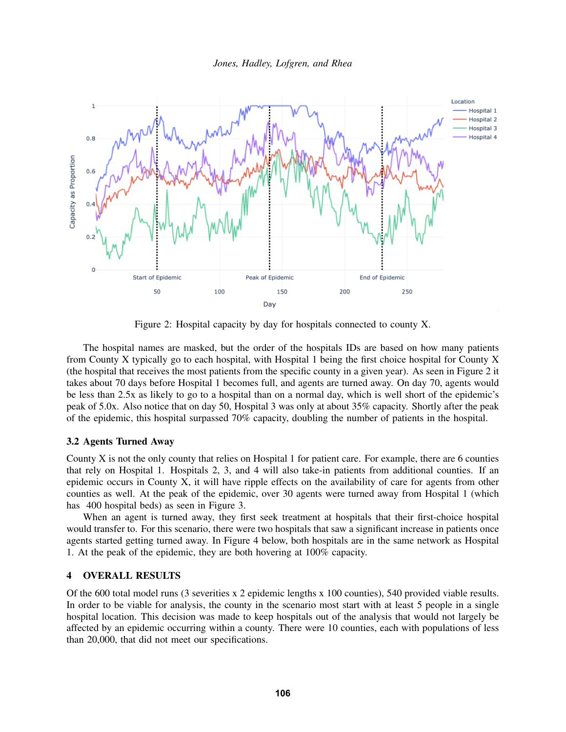

<span id="page-4-0"></span>Figure 2: Hospital capacity by day for hospitals connected to county X.

The hospital names are masked, but the order of the hospitals IDs are based on how many patients from County X typically go to each hospital, with Hospital 1 being the first choice hospital for County X (the hospital that receives the most patients from the specific county in a given year). As seen in Figure [2](#page-4-0) it takes about 70 days before Hospital 1 becomes full, and agents are turned away. On day 70, agents would be less than 2.5x as likely to go to a hospital than on a normal day, which is well short of the epidemic's peak of 5.0x. Also notice that on day 50, Hospital 3 was only at about 35% capacity. Shortly after the peak of the epidemic, this hospital surpassed 70% capacity, doubling the number of patients in the hospital.

### 3.2 Agents Turned Away

County X is not the only county that relies on Hospital 1 for patient care. For example, there are 6 counties that rely on Hospital 1. Hospitals 2, 3, and 4 will also take-in patients from additional counties. If an epidemic occurs in County X, it will have ripple effects on the availability of care for agents from other counties as well. At the peak of the epidemic, over 30 agents were turned away from Hospital 1 (which has 400 hospital beds) as seen in Figure [3.](#page-5-0)

When an agent is turned away, they first seek treatment at hospitals that their first-choice hospital would transfer to. For this scenario, there were two hospitals that saw a significant increase in patients once agents started getting turned away. In Figure [4](#page-6-0) below, both hospitals are in the same network as Hospital 1. At the peak of the epidemic, they are both hovering at 100% capacity.

#### 4 OVERALL RESULTS

Of the 600 total model runs (3 severities x 2 epidemic lengths x 100 counties), 540 provided viable results. In order to be viable for analysis, the county in the scenario most start with at least 5 people in a single hospital location. This decision was made to keep hospitals out of the analysis that would not largely be affected by an epidemic occurring within a county. There were 10 counties, each with populations of less than 20,000, that did not meet our specifications.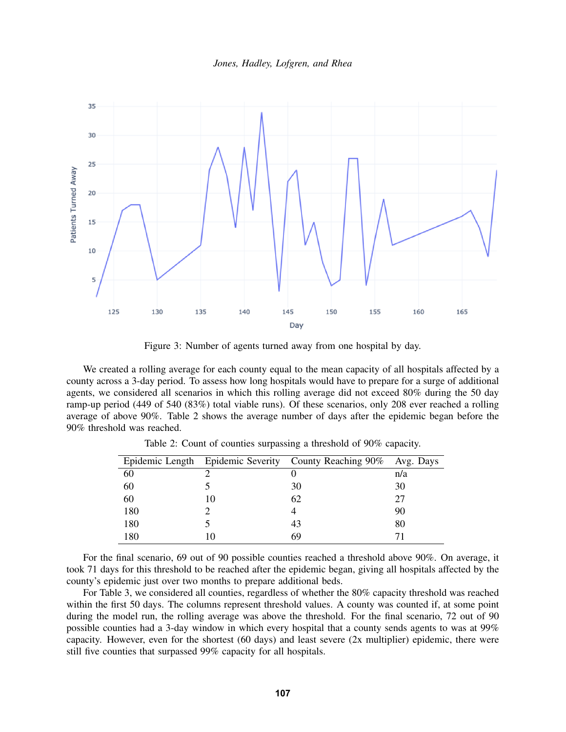



<span id="page-5-0"></span>Figure 3: Number of agents turned away from one hospital by day.

We created a rolling average for each county equal to the mean capacity of all hospitals affected by a county across a 3-day period. To assess how long hospitals would have to prepare for a surge of additional agents, we considered all scenarios in which this rolling average did not exceed 80% during the 50 day ramp-up period (449 of 540 (83%) total viable runs). Of these scenarios, only 208 ever reached a rolling average of above 90%. Table [2](#page-5-1) shows the average number of days after the epidemic began before the 90% threshold was reached.

|     | Epidemic Length Epidemic Severity County Reaching 90% Avg. Days |     |
|-----|-----------------------------------------------------------------|-----|
| 60  |                                                                 | n/a |
| 60  | 30                                                              | 30  |
| 60  | 62                                                              |     |
| 180 |                                                                 | 90  |
| 180 | 43                                                              | 80  |
| 180 | 69                                                              |     |

<span id="page-5-1"></span>Table 2: Count of counties surpassing a threshold of 90% capacity.

For the final scenario, 69 out of 90 possible counties reached a threshold above 90%. On average, it took 71 days for this threshold to be reached after the epidemic began, giving all hospitals affected by the county's epidemic just over two months to prepare additional beds.

For Table [3,](#page-6-1) we considered all counties, regardless of whether the 80% capacity threshold was reached within the first 50 days. The columns represent threshold values. A county was counted if, at some point during the model run, the rolling average was above the threshold. For the final scenario, 72 out of 90 possible counties had a 3-day window in which every hospital that a county sends agents to was at 99% capacity. However, even for the shortest (60 days) and least severe (2x multiplier) epidemic, there were still five counties that surpassed 99% capacity for all hospitals.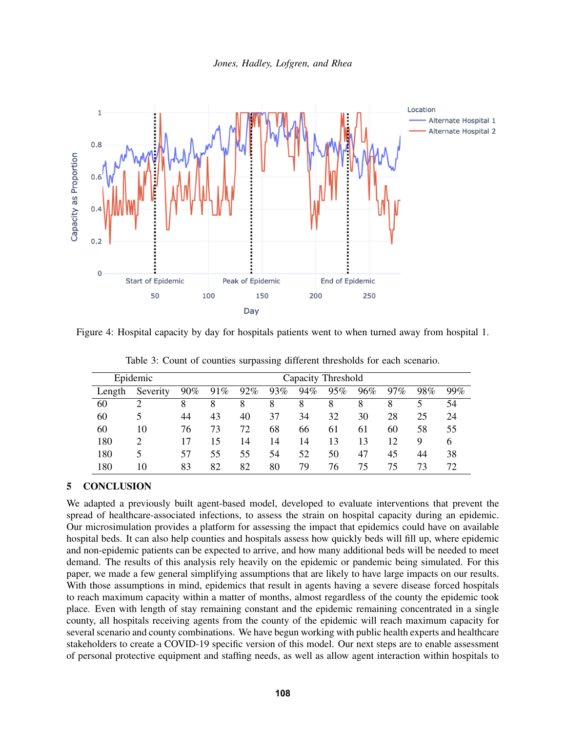

Figure 4: Hospital capacity by day for hospitals patients went to when turned away from hospital 1.

| Epidemic |          | Capacity Threshold |     |     |     |     |     |     |     |     |     |
|----------|----------|--------------------|-----|-----|-----|-----|-----|-----|-----|-----|-----|
| Length   | Severity | $90\%$             | 91% | 92% | 93% | 94% | 95% | 96% | 97% | 98% | 99% |
| 60       |          | 8                  | 8   | 8   | 8   | 8   | 8   | 8   | 8   |     | 54  |
| 60       |          | 44                 | 43  | 40  | 37  | 34  | 32  | 30  | 28  | 25  | 24  |
| 60       | 10       | 76                 | 73  | 72  | 68  | 66  | 61  | 61  | 60  | 58  | 55  |
| 180      |          | 17                 | 15  | 14  | 14  | 14  | 13  | 13  | 12  | 9   | 6   |
| 180      | 5        | 57                 | 55  | 55  | 54  | 52  | 50  | 47  | 45  | 44  | 38  |
| 180      | 10       | 83                 | 82  | 82  | 80  | 79  | 76  | 75  | 75  | 73  | 72  |

<span id="page-6-1"></span><span id="page-6-0"></span>Table 3: Count of counties surpassing different thresholds for each scenario.

## 5 CONCLUSION

We adapted a previously built agent-based model, developed to evaluate interventions that prevent the spread of healthcare-associated infections, to assess the strain on hospital capacity during an epidemic. Our microsimulation provides a platform for assessing the impact that epidemics could have on available hospital beds. It can also help counties and hospitals assess how quickly beds will fill up, where epidemic and non-epidemic patients can be expected to arrive, and how many additional beds will be needed to meet demand. The results of this analysis rely heavily on the epidemic or pandemic being simulated. For this paper, we made a few general simplifying assumptions that are likely to have large impacts on our results. With those assumptions in mind, epidemics that result in agents having a severe disease forced hospitals to reach maximum capacity within a matter of months, almost regardless of the county the epidemic took place. Even with length of stay remaining constant and the epidemic remaining concentrated in a single county, all hospitals receiving agents from the county of the epidemic will reach maximum capacity for several scenario and county combinations. We have begun working with public health experts and healthcare stakeholders to create a COVID-19 specific version of this model. Our next steps are to enable assessment of personal protective equipment and staffing needs, as well as allow agent interaction within hospitals to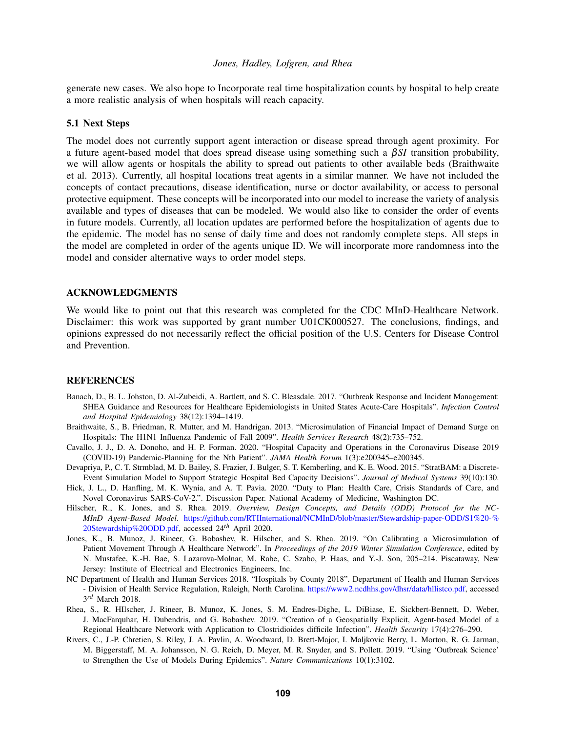## *Jones, Hadley, Lofgren, and Rhea*

generate new cases. We also hope to Incorporate real time hospitalization counts by hospital to help create a more realistic analysis of when hospitals will reach capacity.

### 5.1 Next Steps

The model does not currently support agent interaction or disease spread through agent proximity. For a future agent-based model that does spread disease using something such a β*SI* transition probability, we will allow agents or hospitals the ability to spread out patients to other available beds [\(Braithwaite](#page-7-9) [et al. 2013\)](#page-7-9). Currently, all hospital locations treat agents in a similar manner. We have not included the concepts of contact precautions, disease identification, nurse or doctor availability, or access to personal protective equipment. These concepts will be incorporated into our model to increase the variety of analysis available and types of diseases that can be modeled. We would also like to consider the order of events in future models. Currently, all location updates are performed before the hospitalization of agents due to the epidemic. The model has no sense of daily time and does not randomly complete steps. All steps in the model are completed in order of the agents unique ID. We will incorporate more randomness into the model and consider alternative ways to order model steps.

### ACKNOWLEDGMENTS

We would like to point out that this research was completed for the CDC MInD-Healthcare Network. Disclaimer: this work was supported by grant number U01CK000527. The conclusions, findings, and opinions expressed do not necessarily reflect the official position of the U.S. Centers for Disease Control and Prevention.

#### **REFERENCES**

- <span id="page-7-0"></span>Banach, D., B. L. Johston, D. Al-Zubeidi, A. Bartlett, and S. C. Bleasdale. 2017. "Outbreak Response and Incident Management: SHEA Guidance and Resources for Healthcare Epidemiologists in United States Acute-Care Hospitals". *Infection Control and Hospital Epidemiology* 38(12):1394–1419.
- <span id="page-7-9"></span>Braithwaite, S., B. Friedman, R. Mutter, and M. Handrigan. 2013. "Microsimulation of Financial Impact of Demand Surge on Hospitals: The H1N1 Influenza Pandemic of Fall 2009". *Health Services Research* 48(2):735–752.
- <span id="page-7-2"></span>Cavallo, J. J., D. A. Donoho, and H. P. Forman. 2020. "Hospital Capacity and Operations in the Coronavirus Disease 2019 (COVID-19) Pandemic-Planning for the Nth Patient". *JAMA Health Forum* 1(3):e200345–e200345.
- <span id="page-7-4"></span>Devapriya, P., C. T. Strmblad, M. D. Bailey, S. Frazier, J. Bulger, S. T. Kemberling, and K. E. Wood. 2015. "StratBAM: a Discrete-Event Simulation Model to Support Strategic Hospital Bed Capacity Decisions". *Journal of Medical Systems* 39(10):130.
- <span id="page-7-1"></span>Hick, J. L., D. Hanfling, M. K. Wynia, and A. T. Pavia. 2020. "Duty to Plan: Health Care, Crisis Standards of Care, and Novel Coronavirus SARS-CoV-2.". Discussion Paper. National Academy of Medicine, Washington DC.
- <span id="page-7-7"></span>Hilscher, R., K. Jones, and S. Rhea. 2019. *Overview, Design Concepts, and Details (ODD) Protocol for the NC-MInD Agent-Based Model*. [https://github.com/RTIInternational/NCMInD/blob/master/Stewardship-paper-ODD/S1%20-%](https://github.com/RTIInternational/NCMInD/blob/master/Stewardship-paper-ODD/S1%20-%20Stewardship%20ODD.pdf) [20Stewardship%20ODD.pdf,](https://github.com/RTIInternational/NCMInD/blob/master/Stewardship-paper-ODD/S1%20-%20Stewardship%20ODD.pdf) accessed 24*th* April 2020.
- <span id="page-7-6"></span>Jones, K., B. Munoz, J. Rineer, G. Bobashev, R. Hilscher, and S. Rhea. 2019. "On Calibrating a Microsimulation of Patient Movement Through A Healthcare Network". In *Proceedings of the 2019 Winter Simulation Conference*, edited by N. Mustafee, K.-H. Bae, S. Lazarova-Molnar, M. Rabe, C. Szabo, P. Haas, and Y.-J. Son, 205–214. Piscataway, New Jersey: Institute of Electrical and Electronics Engineers, Inc.
- <span id="page-7-8"></span>NC Department of Health and Human Services 2018. "Hospitals by County 2018". Department of Health and Human Services - Division of Health Service Regulation, Raleigh, North Carolina. [https://www2.ncdhhs.gov/dhsr/data/hllistco.pdf,](https://www2.ncdhhs.gov/dhsr/data/hllistco.pdf) accessed 3 *rd* March 2018.
- <span id="page-7-5"></span>Rhea, S., R. HIlscher, J. Rineer, B. Munoz, K. Jones, S. M. Endres-Dighe, L. DiBiase, E. Sickbert-Bennett, D. Weber, J. MacFarquhar, H. Dubendris, and G. Bobashev. 2019. "Creation of a Geospatially Explicit, Agent-based Model of a Regional Healthcare Network with Application to Clostridioides difficile Infection". *Health Security* 17(4):276–290.
- <span id="page-7-3"></span>Rivers, C., J.-P. Chretien, S. Riley, J. A. Pavlin, A. Woodward, D. Brett-Major, I. Maljkovic Berry, L. Morton, R. G. Jarman, M. Biggerstaff, M. A. Johansson, N. G. Reich, D. Meyer, M. R. Snyder, and S. Pollett. 2019. "Using 'Outbreak Science' to Strengthen the Use of Models During Epidemics". *Nature Communications* 10(1):3102.